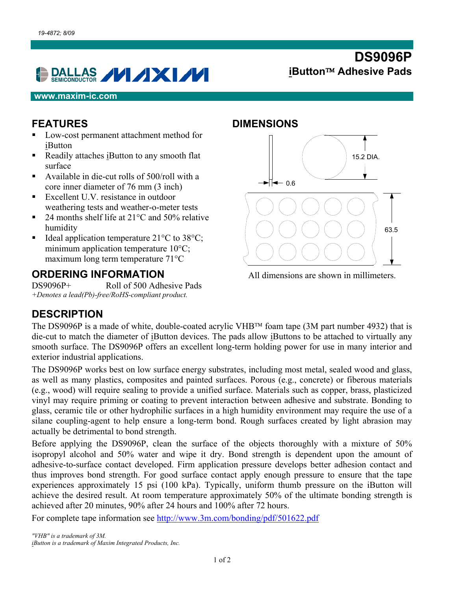# **DALLAS VIXIVI**

#### **www.maxim-ic.com**

#### **FEATURES**

- Low-cost permanent attachment method for iButton
- Readily attaches iButton to any smooth flat surface
- Available in die-cut rolls of  $500$ /roll with a core inner diameter of 76 mm (3 inch)
- Excellent U.V. resistance in outdoor weathering tests and weather-o-meter tests
- 24 months shelf life at 21<sup>o</sup>C and 50% relative humidity
- Ideal application temperature  $21^{\circ}$ C to 38 $^{\circ}$ C; minimum application temperature 10°C; maximum long term temperature 71°C

#### **ORDERING INFORMATION**

DS9096P+ Roll of 500 Adhesive Pads *+Denotes a lead(Pb)-free/RoHS-compliant product.* 

#### **DIMENSIONS**



**DS9096P** 

**iButton Adhesive Pads** 

All dimensions are shown in millimeters.

### **DESCRIPTION**

The DS9096P is a made of white, double-coated acrylic VHB<sup>TM</sup> foam tape (3M part number 4932) that is die-cut to match the diameter of iButton devices. The pads allow iButtons to be attached to virtually any smooth surface. The DS9096P offers an excellent long-term holding power for use in many interior and exterior industrial applications.

The DS9096P works best on low surface energy substrates, including most metal, sealed wood and glass, as well as many plastics, composites and painted surfaces. Porous (e.g., concrete) or fiberous materials (e.g., wood) will require sealing to provide a unified surface. Materials such as copper, brass, plasticized vinyl may require priming or coating to prevent interaction between adhesive and substrate. Bonding to glass, ceramic tile or other hydrophilic surfaces in a high humidity environment may require the use of a silane coupling-agent to help ensure a long-term bond. Rough surfaces created by light abrasion may actually be detrimental to bond strength.

Before applying the DS9096P, clean the surface of the objects thoroughly with a mixture of 50% isopropyl alcohol and 50% water and wipe it dry. Bond strength is dependent upon the amount of adhesive-to-surface contact developed. Firm application pressure develops better adhesion contact and thus improves bond strength. For good surface contact apply enough pressure to ensure that the tape experiences approximately 15 psi (100 kPa). Typically, uniform thumb pressure on the iButton will achieve the desired result. At room temperature approximately 50% of the ultimate bonding strength is achieved after 20 minutes, 90% after 24 hours and 100% after 72 hours.

For complete tape information see<http://www.3m.com/bonding/pdf/501622.pdf>